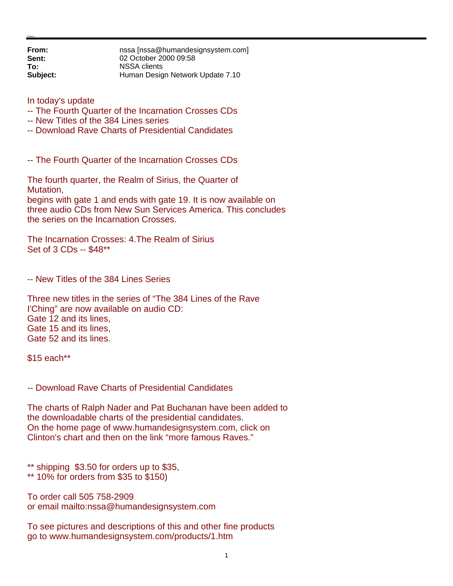**From: nssa** [nssa@humandesignsystem.com]<br> **Sent:** 02 October 2000 09:58 **Sent:** 02 October 2000 09:58 **To:** NSSA clients<br> **Subject:** Human Desig **Subject:** Human Design Network Update 7.10

In today's update

- -- The Fourth Quarter of the Incarnation Crosses CDs
- -- New Titles of the 384 Lines series
- -- Download Rave Charts of Presidential Candidates

-- The Fourth Quarter of the Incarnation Crosses CDs

The fourth quarter, the Realm of Sirius, the Quarter of Mutation,

begins with gate 1 and ends with gate 19. It is now available on three audio CDs from New Sun Services America. This concludes the series on the Incarnation Crosses.

The Incarnation Crosses: 4.The Realm of Sirius Set of 3 CDs -- \$48\*\*

-- New Titles of the 384 Lines Series

Three new titles in the series of "The 384 Lines of the Rave I'Ching" are now available on audio CD: Gate 12 and its lines, Gate 15 and its lines, Gate 52 and its lines.

\$15 each\*\*

-- Download Rave Charts of Presidential Candidates

The charts of Ralph Nader and Pat Buchanan have been added to the downloadable charts of the presidential candidates. On the home page of www.humandesignsystem.com, click on Clinton's chart and then on the link "more famous Raves."

\*\* shipping \$3.50 for orders up to \$35,

\*\* 10% for orders from \$35 to \$150)

To order call 505 758-2909 or email mailto:nssa@humandesignsystem.com

To see pictures and descriptions of this and other fine products go to www.humandesignsystem.com/products/1.htm